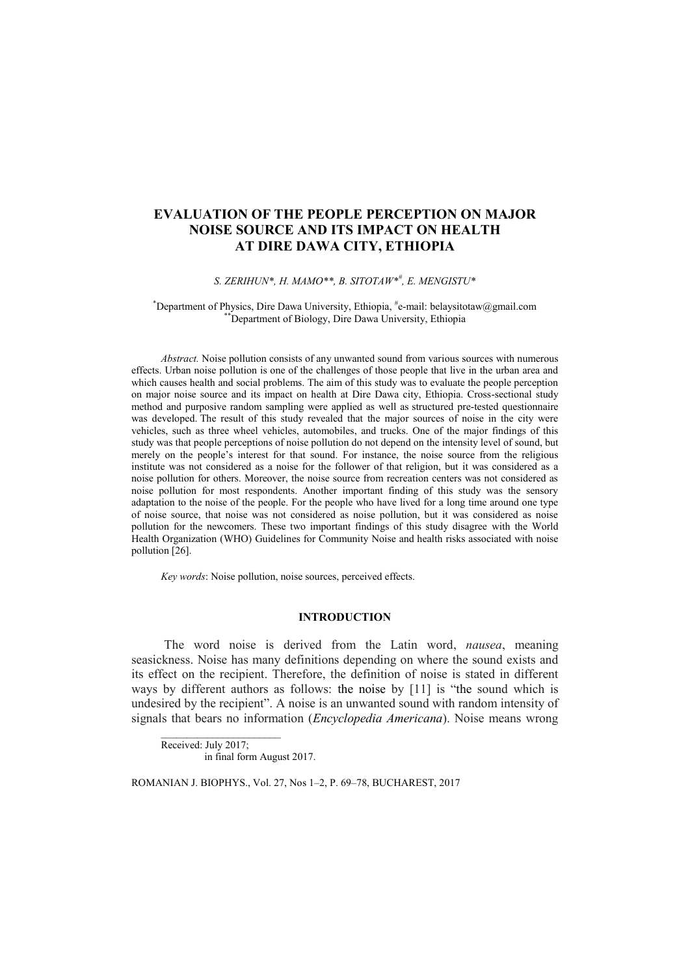# **EVALUATION OF THE PEOPLE PERCEPTION ON MAJOR NOISE SOURCE AND ITS IMPACT ON HEALTH AT DIRE DAWA CITY, ETHIOPIA**

## *S. ZERIHUN\*, H. MAMO\*\*, B. SITOTAW\*# , E. MENGISTU\**

#### \*Department of Physics, Dire Dawa University, Ethiopia, # e-mail: belaysitotaw@gmail.com \*\*Department of Biology, Dire Dawa University, Ethiopia

*Abstract.* Noise pollution consists of any unwanted sound from various sources with numerous effects. Urban noise pollution is one of the challenges of those people that live in the urban area and which causes health and social problems. The aim of this study was to evaluate the people perception on major noise source and its impact on health at Dire Dawa city, Ethiopia. Cross-sectional study method and purposive random sampling were applied as well as structured pre-tested questionnaire was developed. The result of this study revealed that the major sources of noise in the city were vehicles, such as three wheel vehicles, automobiles, and trucks. One of the major findings of this study was that people perceptions of noise pollution do not depend on the intensity level of sound, but merely on the people's interest for that sound. For instance, the noise source from the religious institute was not considered as a noise for the follower of that religion, but it was considered as a noise pollution for others. Moreover, the noise source from recreation centers was not considered as noise pollution for most respondents. Another important finding of this study was the sensory adaptation to the noise of the people. For the people who have lived for a long time around one type of noise source, that noise was not considered as noise pollution, but it was considered as noise pollution for the newcomers. These two important findings of this study disagree with the World Health Organization (WHO) Guidelines for Community Noise and health risks associated with noise pollution [26].

*Key words*: Noise pollution, noise sources, perceived effects.

# **INTRODUCTION**

The word noise is derived from the Latin word, *nausea*, meaning seasickness. Noise has many definitions depending on where the sound exists and its effect on the recipient. Therefore, the definition of noise is stated in different ways by different authors as follows: the noise by [11] is "the sound which is undesired by the recipient". A noise is an unwanted sound with random intensity of signals that bears no information (*Encyclopedia Americana*). Noise means wrong

Received: July 2017; in final form August 2017.

 $\_$ 

ROMANIAN J. BIOPHYS., Vol. 27, Nos 1–2, P. 69–78, BUCHAREST, 2017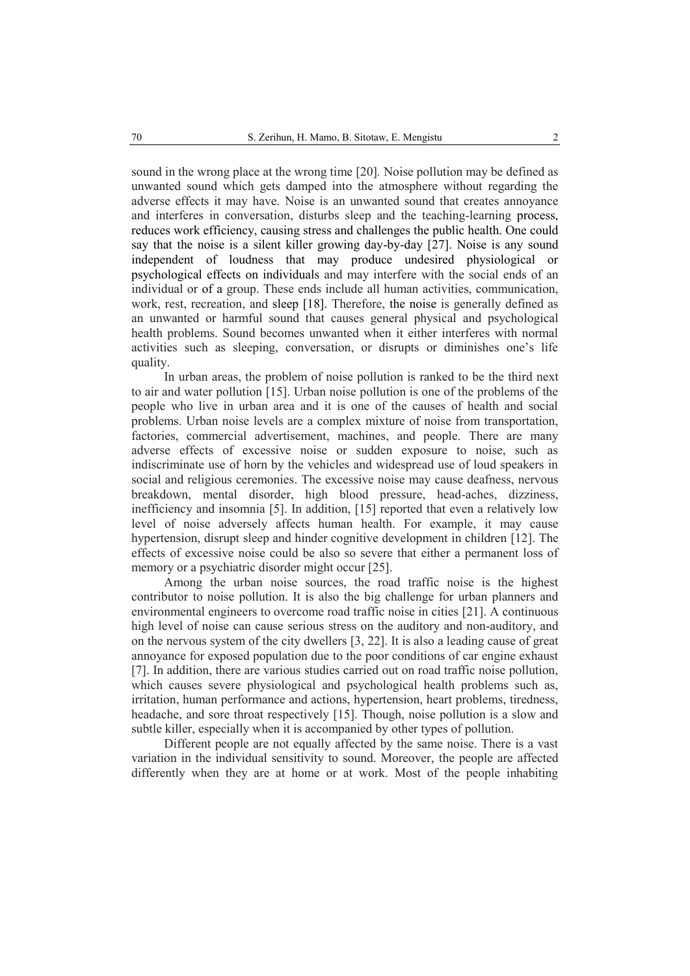sound in the wrong place at the wrong time [20]*.* Noise pollution may be defined as unwanted sound which gets damped into the atmosphere without regarding the adverse effects it may have. Noise is an unwanted sound that creates annoyance and interferes in conversation, disturbs sleep and the teaching-learning process, reduces work efficiency, causing stress and challenges the public health. One could say that the noise is a silent killer growing day-by-day [27]. Noise is any sound independent of loudness that may produce undesired physiological or psychological effects on individuals and may interfere with the social ends of an individual or of a group. These ends include all human activities, communication, work, rest, recreation, and sleep [18]. Therefore, the noise is generally defined as an unwanted or harmful sound that causes general physical and psychological health problems. Sound becomes unwanted when it either interferes with normal activities such as sleeping, conversation, or disrupts or diminishes one's life quality.

In urban areas, the problem of noise pollution is ranked to be the third next to air and water pollution [15]. Urban noise pollution is one of the problems of the people who live in urban area and it is one of the causes of health and social problems. Urban noise levels are a complex mixture of noise from transportation, factories, commercial advertisement, machines, and people. There are many adverse effects of excessive noise or sudden exposure to noise, such as indiscriminate use of horn by the vehicles and widespread use of loud speakers in social and religious ceremonies. The excessive noise may cause deafness, nervous breakdown, mental disorder, high blood pressure, head-aches, dizziness, inefficiency and insomnia [5]. In addition, [15] reported that even a relatively low level of noise adversely affects human health. For example, it may cause hypertension, disrupt sleep and hinder cognitive development in children [12]. The effects of excessive noise could be also so severe that either a permanent loss of memory or a psychiatric disorder might occur [25].

Among the urban noise sources, the road traffic noise is the highest contributor to noise pollution. It is also the big challenge for urban planners and environmental engineers to overcome road traffic noise in cities [21]. A continuous high level of noise can cause serious stress on the auditory and non-auditory, and on the nervous system of the city dwellers [3, 22]. It is also a leading cause of great annoyance for exposed population due to the poor conditions of car engine exhaust [7]. In addition, there are various studies carried out on road traffic noise pollution, which causes severe physiological and psychological health problems such as, irritation, human performance and actions, hypertension, heart problems, tiredness, headache, and sore throat respectively [15]. Though, noise pollution is a slow and subtle killer, especially when it is accompanied by other types of pollution.

Different people are not equally affected by the same noise. There is a vast variation in the individual sensitivity to sound. Moreover, the people are affected differently when they are at home or at work. Most of the people inhabiting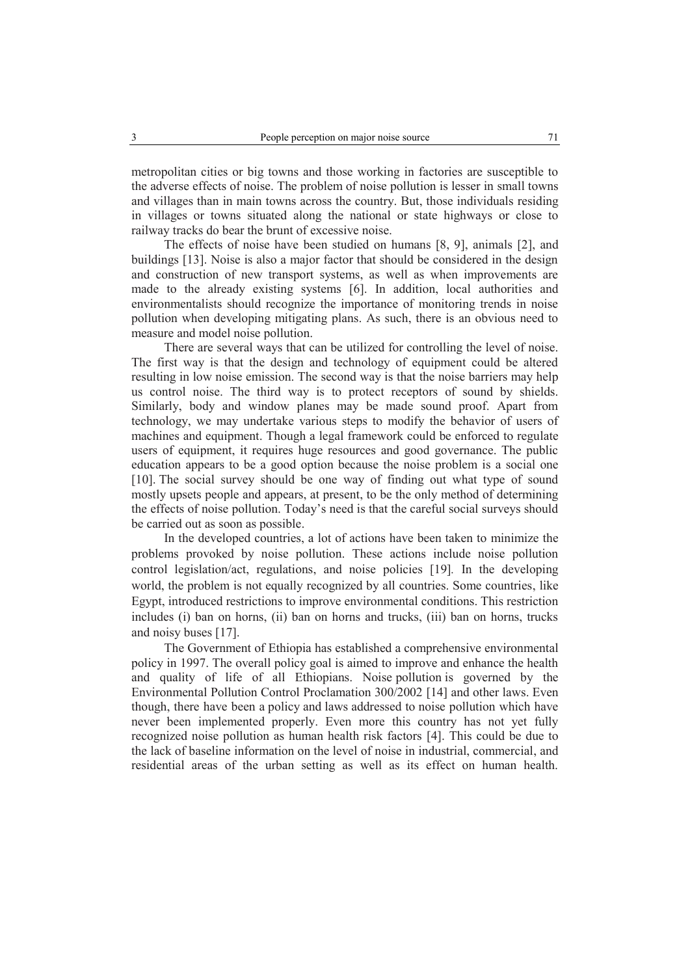metropolitan cities or big towns and those working in factories are susceptible to the adverse effects of noise. The problem of noise pollution is lesser in small towns and villages than in main towns across the country. But, those individuals residing in villages or towns situated along the national or state highways or close to railway tracks do bear the brunt of excessive noise.

The effects of noise have been studied on humans [8, 9], animals [2], and buildings [13]. Noise is also a major factor that should be considered in the design and construction of new transport systems, as well as when improvements are made to the already existing systems [6]. In addition, local authorities and environmentalists should recognize the importance of monitoring trends in noise pollution when developing mitigating plans. As such, there is an obvious need to measure and model noise pollution.

There are several ways that can be utilized for controlling the level of noise. The first way is that the design and technology of equipment could be altered resulting in low noise emission. The second way is that the noise barriers may help us control noise. The third way is to protect receptors of sound by shields. Similarly, body and window planes may be made sound proof. Apart from technology, we may undertake various steps to modify the behavior of users of machines and equipment. Though a legal framework could be enforced to regulate users of equipment, it requires huge resources and good governance. The public education appears to be a good option because the noise problem is a social one [10]. The social survey should be one way of finding out what type of sound mostly upsets people and appears, at present, to be the only method of determining the effects of noise pollution. Today's need is that the careful social surveys should be carried out as soon as possible.

In the developed countries, a lot of actions have been taken to minimize the problems provoked by noise pollution. These actions include noise pollution control legislation/act, regulations, and noise policies [19]*.* In the developing world, the problem is not equally recognized by all countries. Some countries, like Egypt, introduced restrictions to improve environmental conditions. This restriction includes (i) ban on horns, (ii) ban on horns and trucks, (iii) ban on horns, trucks and noisy buses [17].

The Government of Ethiopia has established a comprehensive environmental policy in 1997. The overall policy goal is aimed to improve and enhance the health and quality of life of all Ethiopians. Noise pollution is governed by the Environmental Pollution Control Proclamation 300/2002 [14] and other laws. Even though, there have been a policy and laws addressed to noise pollution which have never been implemented properly. Even more this country has not yet fully recognized noise pollution as human health risk factors [4]. This could be due to the lack of baseline information on the level of noise in industrial, commercial, and residential areas of the urban setting as well as its effect on human health.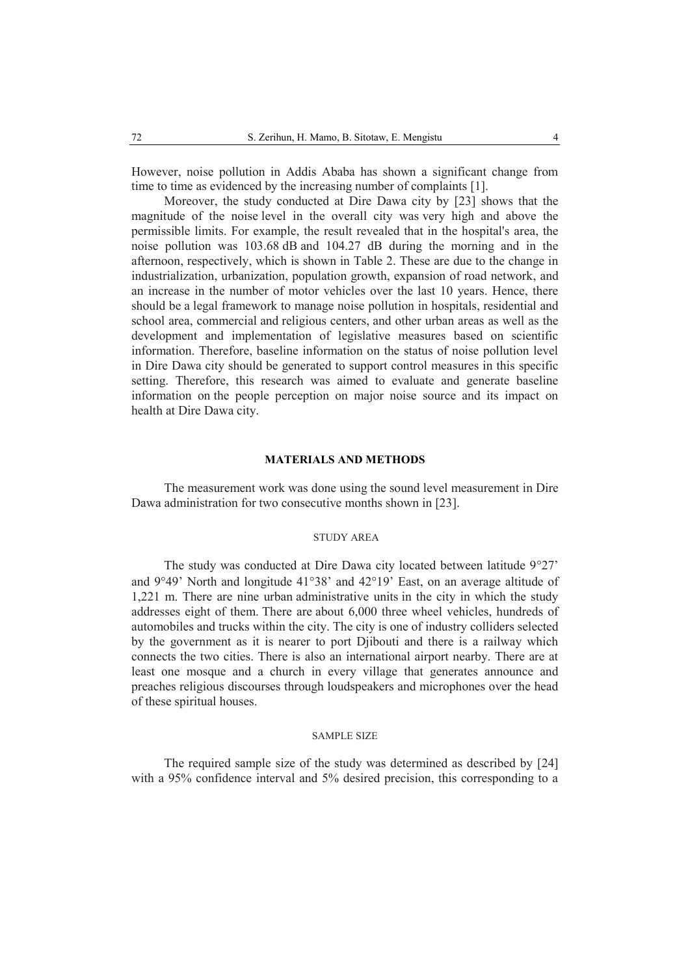However, noise pollution in Addis Ababa has shown a significant change from time to time as evidenced by the increasing number of complaints [1].

Moreover, the study conducted at Dire Dawa city by [23] shows that the magnitude of the noise level in the overall city was very high and above the permissible limits. For example, the result revealed that in the hospital's area, the noise pollution was 103.68 dB and 104.27 dB during the morning and in the afternoon, respectively, which is shown in Table 2. These are due to the change in industrialization, urbanization, population growth, expansion of road network, and an increase in the number of motor vehicles over the last 10 years. Hence, there should be a legal framework to manage noise pollution in hospitals, residential and school area, commercial and religious centers, and other urban areas as well as the development and implementation of legislative measures based on scientific information. Therefore, baseline information on the status of noise pollution level in Dire Dawa city should be generated to support control measures in this specific setting. Therefore, this research was aimed to evaluate and generate baseline information on the people perception on major noise source and its impact on health at Dire Dawa city.

### **MATERIALS AND METHODS**

The measurement work was done using the sound level measurement in Dire Dawa administration for two consecutive months shown in [23].

#### STUDY AREA

The study was conducted at Dire Dawa city located between latitude  $9°27'$ and  $9^{\circ}49'$  North and longitude  $41^{\circ}38'$  and  $42^{\circ}19'$  East, on an average altitude of 1,221 m. There are nine urban administrative units in the city in which the study addresses eight of them. There are about 6,000 three wheel vehicles, hundreds of automobiles and trucks within the city. The city is one of industry colliders selected by the government as it is nearer to port Djibouti and there is a railway which connects the two cities. There is also an international airport nearby. There are at least one mosque and a church in every village that generates announce and preaches religious discourses through loudspeakers and microphones over the head of these spiritual houses.

### SAMPLE SIZE

The required sample size of the study was determined as described by [24] with a 95% confidence interval and 5% desired precision, this corresponding to a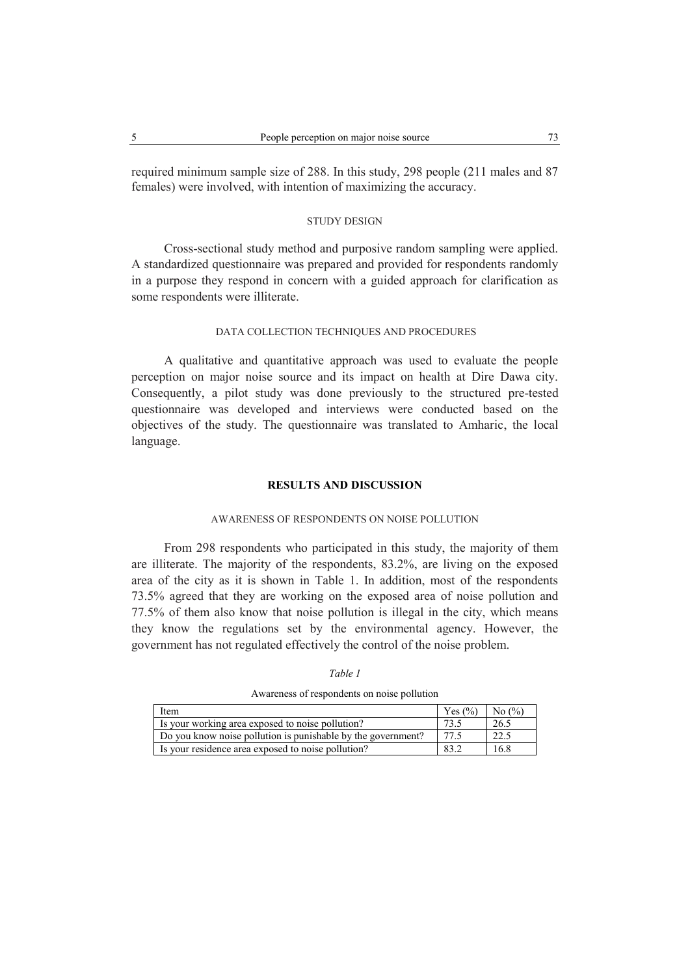required minimum sample size of 288. In this study, 298 people (211 males and 87 females) were involved, with intention of maximizing the accuracy.

# STUDY DESIGN

Cross-sectional study method and purposive random sampling were applied. A standardized questionnaire was prepared and provided for respondents randomly in a purpose they respond in concern with a guided approach for clarification as some respondents were illiterate.

### DATA COLLECTION TECHNIQUES AND PROCEDURES

A qualitative and quantitative approach was used to evaluate the people perception on major noise source and its impact on health at Dire Dawa city. Consequently, a pilot study was done previously to the structured pre-tested questionnaire was developed and interviews were conducted based on the objectives of the study. The questionnaire was translated to Amharic, the local language.

### **RESULTS AND DISCUSSION**

# AWARENESS OF RESPONDENTS ON NOISE POLLUTION

From 298 respondents who participated in this study, the majority of them are illiterate. The majority of the respondents, 83.2%, are living on the exposed area of the city as it is shown in Table 1. In addition, most of the respondents 73.5% agreed that they are working on the exposed area of noise pollution and 77.5% of them also know that noise pollution is illegal in the city, which means they know the regulations set by the environmental agency. However, the government has not regulated effectively the control of the noise problem.

Awareness of respondents on noise pollution

| Item                                                         | Yes $(\% )$ | No $\left(\frac{9}{6}\right)$ |
|--------------------------------------------------------------|-------------|-------------------------------|
| Is your working area exposed to noise pollution?             |             | 26.5                          |
| Do you know noise pollution is punishable by the government? |             | 22.5                          |
| Is your residence area exposed to noise pollution?           | 83.2        | 16.8                          |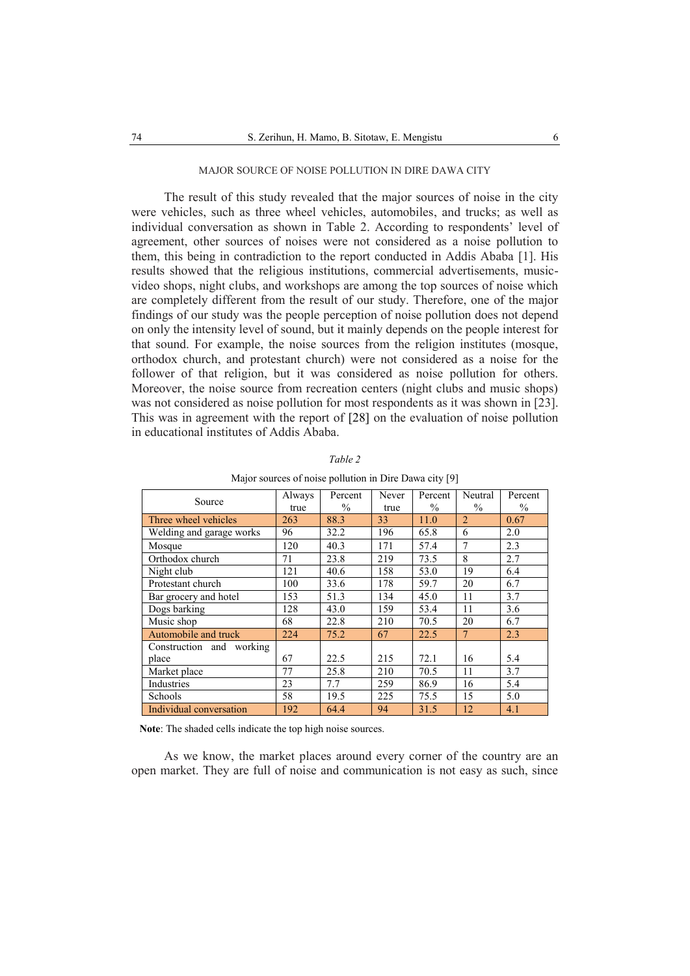## MAJOR SOURCE OF NOISE POLLUTION IN DIRE DAWA CITY

The result of this study revealed that the major sources of noise in the city were vehicles, such as three wheel vehicles, automobiles, and trucks; as well as individual conversation as shown in Table 2. According to respondents' level of agreement, other sources of noises were not considered as a noise pollution to them, this being in contradiction to the report conducted in Addis Ababa [1]. His results showed that the religious institutions, commercial advertisements, musicvideo shops, night clubs, and workshops are among the top sources of noise which are completely different from the result of our study. Therefore, one of the major findings of our study was the people perception of noise pollution does not depend on only the intensity level of sound, but it mainly depends on the people interest for that sound. For example, the noise sources from the religion institutes (mosque, orthodox church, and protestant church) were not considered as a noise for the follower of that religion, but it was considered as noise pollution for others. Moreover, the noise source from recreation centers (night clubs and music shops) was not considered as noise pollution for most respondents as it was shown in [23]. This was in agreement with the report of [28] on the evaluation of noise pollution in educational institutes of Addis Ababa.

| Source                   | Always<br>true | Percent<br>$\%$ | Never<br>true | Percent<br>$\%$ | Neutral<br>$\%$ | Percent<br>$\%$ |
|--------------------------|----------------|-----------------|---------------|-----------------|-----------------|-----------------|
| Three wheel vehicles     | 263            | 88.3            | 33            | 11.0            | $\overline{2}$  | 0.67            |
| Welding and garage works | 96             | 32.2            | 196           | 65.8            | 6               | 2.0             |
| Mosque                   | 120            | 40.3            | 171           | 57.4            | $\overline{7}$  | 2.3             |
| Orthodox church          | 71             | 23.8            | 219           | 73.5            | 8               | 2.7             |
| Night club               | 121            | 40.6            | 158           | 53.0            | 19              | 6.4             |
| Protestant church        | 100            | 33.6            | 178           | 59.7            | 20              | 6.7             |
| Bar grocery and hotel    | 153            | 51.3            | 134           | 45.0            | 11              | 3.7             |
| Dogs barking             | 128            | 43.0            | 159           | 53.4            | 11              | 3.6             |
| Music shop               | 68             | 22.8            | 210           | 70.5            | 20              | 6.7             |
| Automobile and truck     | 224            | 75.2            | 67            | 22.5            | $\overline{7}$  | 2.3             |
| Construction and working |                |                 |               |                 |                 |                 |
| place                    | 67             | 22.5            | 215           | 72.1            | 16              | 5.4             |
| Market place             | 77             | 25.8            | 210           | 70.5            | 11              | 3.7             |
| Industries               | 23             | 7.7             | 259           | 86.9            | 16              | 5.4             |
| Schools                  | 58             | 19.5            | 225           | 75.5            | 15              | 5.0             |
| Individual conversation  | 192            | 64.4            | 94            | 31.5            | 12              | 4.1             |

| an<br>, |  |
|---------|--|
|         |  |

Major sources of noise pollution in Dire Dawa city [9]

**Note**: The shaded cells indicate the top high noise sources.

As we know, the market places around every corner of the country are an open market. They are full of noise and communication is not easy as such, since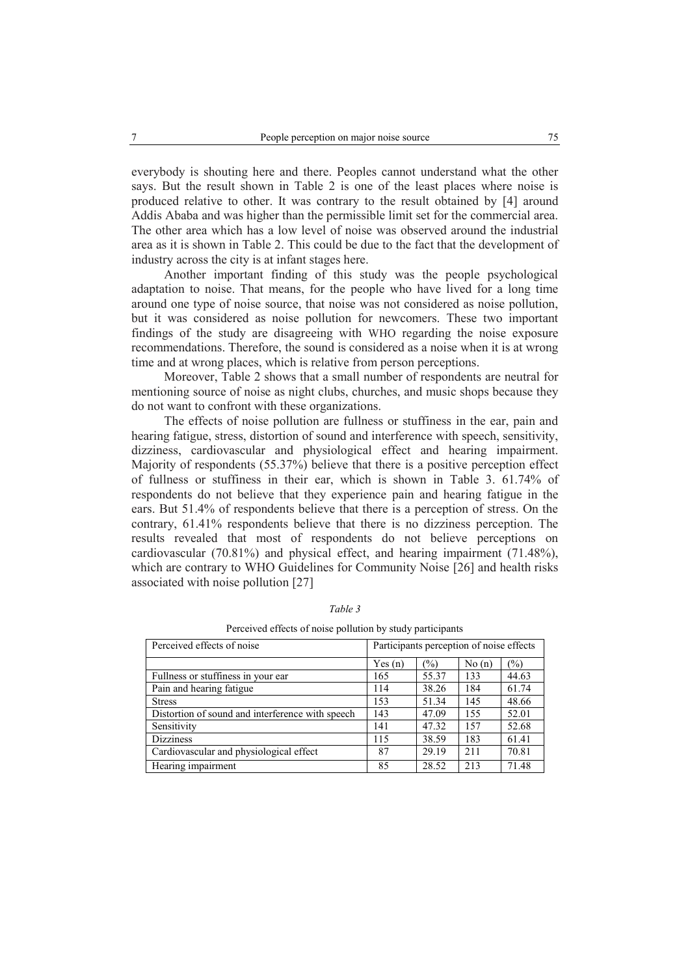everybody is shouting here and there. Peoples cannot understand what the other says. But the result shown in Table 2 is one of the least places where noise is produced relative to other. It was contrary to the result obtained by [4] around Addis Ababa and was higher than the permissible limit set for the commercial area. The other area which has a low level of noise was observed around the industrial area as it is shown in Table 2. This could be due to the fact that the development of industry across the city is at infant stages here.

Another important finding of this study was the people psychological adaptation to noise. That means, for the people who have lived for a long time around one type of noise source, that noise was not considered as noise pollution, but it was considered as noise pollution for newcomers. These two important findings of the study are disagreeing with WHO regarding the noise exposure recommendations. Therefore, the sound is considered as a noise when it is at wrong time and at wrong places, which is relative from person perceptions.

Moreover, Table 2 shows that a small number of respondents are neutral for mentioning source of noise as night clubs, churches, and music shops because they do not want to confront with these organizations.

The effects of noise pollution are fullness or stuffiness in the ear, pain and hearing fatigue, stress, distortion of sound and interference with speech, sensitivity, dizziness, cardiovascular and physiological effect and hearing impairment. Majority of respondents (55.37%) believe that there is a positive perception effect of fullness or stuffiness in their ear, which is shown in Table 3. 61.74% of respondents do not believe that they experience pain and hearing fatigue in the ears. But 51.4% of respondents believe that there is a perception of stress. On the contrary, 61.41% respondents believe that there is no dizziness perception. The results revealed that most of respondents do not believe perceptions on cardiovascular (70.81%) and physical effect, and hearing impairment (71.48%), which are contrary to WHO Guidelines for Community Noise [26] and health risks associated with noise pollution [27]

| Perceived effects of noise                       | Participants perception of noise effects |       |       |       |
|--------------------------------------------------|------------------------------------------|-------|-------|-------|
|                                                  | Yes(n)                                   | (0/0) | No(n) | (%)   |
| Fullness or stuffiness in your ear               | 165                                      | 55.37 | 133   | 44.63 |
| Pain and hearing fatigue                         | 114                                      | 38.26 | 184   | 61.74 |
| <b>Stress</b>                                    | 153                                      | 51.34 | 145   | 48.66 |
| Distortion of sound and interference with speech | 143                                      | 47.09 | 155   | 52.01 |
| Sensitivity                                      | 141                                      | 47.32 | 157   | 52.68 |
| <b>Dizziness</b>                                 | 115                                      | 38.59 | 183   | 61.41 |
| Cardiovascular and physiological effect          | 87                                       | 29.19 | 2.11  | 70.81 |
| Hearing impairment                               | 85                                       | 28.52 | 213   | 71.48 |

*Table 3*

Perceived effects of noise pollution by study participants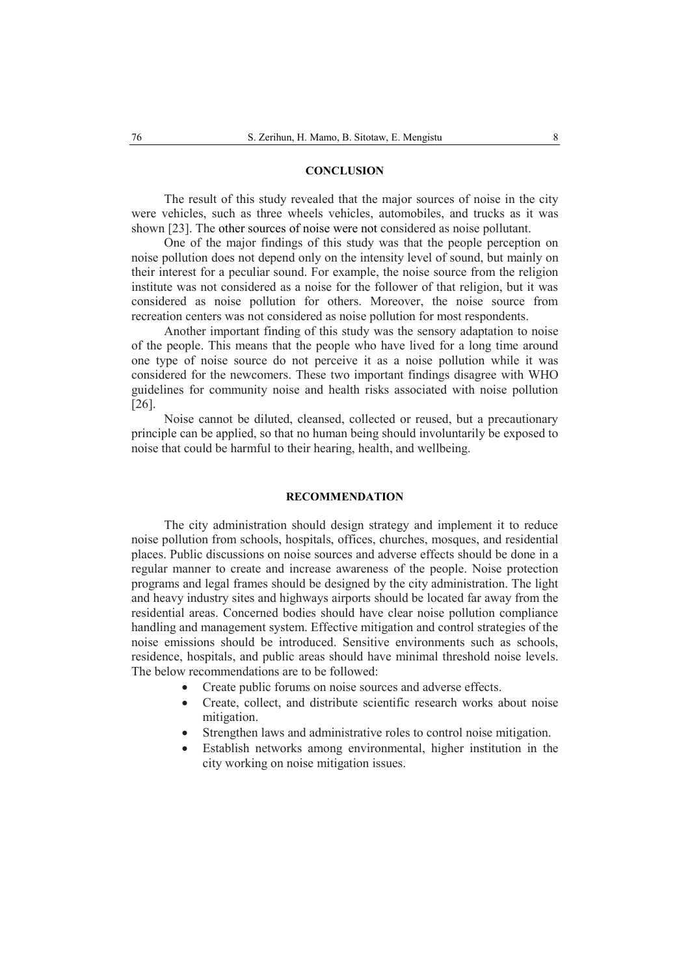## **CONCLUSION**

The result of this study revealed that the major sources of noise in the city were vehicles, such as three wheels vehicles, automobiles, and trucks as it was shown [23]. The other sources of noise were not considered as noise pollutant.

One of the major findings of this study was that the people perception on noise pollution does not depend only on the intensity level of sound, but mainly on their interest for a peculiar sound. For example, the noise source from the religion institute was not considered as a noise for the follower of that religion, but it was considered as noise pollution for others. Moreover, the noise source from recreation centers was not considered as noise pollution for most respondents.

Another important finding of this study was the sensory adaptation to noise of the people. This means that the people who have lived for a long time around one type of noise source do not perceive it as a noise pollution while it was considered for the newcomers. These two important findings disagree with WHO guidelines for community noise and health risks associated with noise pollution [26].

Noise cannot be diluted, cleansed, collected or reused, but a precautionary principle can be applied, so that no human being should involuntarily be exposed to noise that could be harmful to their hearing, health, and wellbeing.

## **RECOMMENDATION**

The city administration should design strategy and implement it to reduce noise pollution from schools, hospitals, offices, churches, mosques, and residential places. Public discussions on noise sources and adverse effects should be done in a regular manner to create and increase awareness of the people. Noise protection programs and legal frames should be designed by the city administration. The light and heavy industry sites and highways airports should be located far away from the residential areas. Concerned bodies should have clear noise pollution compliance handling and management system. Effective mitigation and control strategies of the noise emissions should be introduced. Sensitive environments such as schools, residence, hospitals, and public areas should have minimal threshold noise levels. The below recommendations are to be followed:

- Create public forums on noise sources and adverse effects.
- Create, collect, and distribute scientific research works about noise mitigation.
- Strengthen laws and administrative roles to control noise mitigation.
- Establish networks among environmental, higher institution in the city working on noise mitigation issues.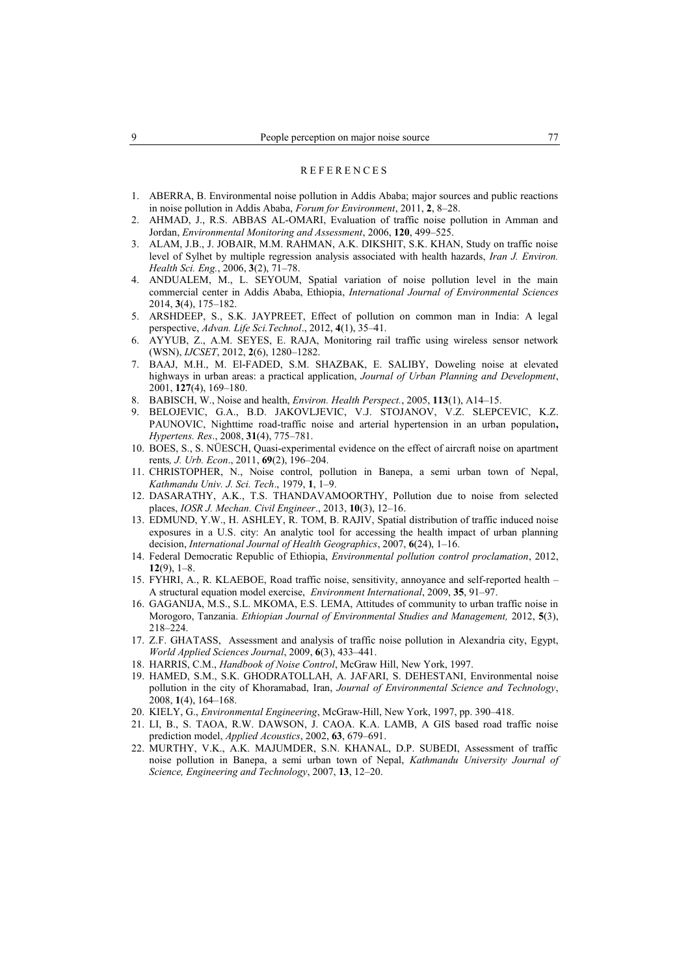#### **REFERENCES**

- 1. ABERRA, B. Environmental noise pollution in Addis Ababa; major sources and public reactions in noise pollution in Addis Ababa, *Forum for Environment*, 2011, **2**, 8–28.
- 2. AHMAD, J., R.S. ABBAS AL-OMARI, Evaluation of traffic noise pollution in Amman and Jordan, *Environmental Monitoring and Assessment*, 2006, **120**, 499–525.
- 3. ALAM, J.B., J. JOBAIR, M.M. RAHMAN, A.K. DIKSHIT, S.K. KHAN, Study on traffic noise level of Sylhet by multiple regression analysis associated with health hazards, *Iran J. Environ. Health Sci. Eng.*, 2006, **3**(2), 71–78.
- 4. ANDUALEM, M., L. SEYOUM, Spatial variation of noise pollution level in the main commercial center in Addis Ababa, Ethiopia, *International Journal of Environmental Sciences*  2014, **3**(4), 175–182.
- 5. ARSHDEEP, S., S.K. JAYPREET, Effect of pollution on common man in India: A legal perspective, *Advan. Life Sci.Technol*., 2012, **4**(1), 35–41.
- 6. AYYUB, Z., A.M. SEYES, E. RAJA, Monitoring rail traffic using wireless sensor network (WSN), *IJCSET*, 2012, **2**(6), 1280–1282.
- 7. BAAJ, M.H., M. El-FADED, S.M. SHAZBAK, E. SALIBY, Doweling noise at elevated highways in urban areas: a practical application, *Journal of Urban Planning and Development*, 2001, **127**(4), 169–180.
- 8. BABISCH, W., Noise and health, *Environ. Health Perspect.*, 2005, **113**(1), A14–15.
- 9. BELOJEVIC, G.A., B.D. JAKOVLJEVIC, V.J. STOJANOV, V.Z. SLEPCEVIC, K.Z. PAUNOVIC, Nighttime road-traffic noise and arterial hypertension in an urban population**,** *Hypertens. Res*., 2008, **31**(4), 775–781.
- 10. BOES, S., S. NÜESCH, Quasi-experimental evidence on the effect of aircraft noise on apartment rents*, J. Urb. Econ*., 2011, **69**(2), 196–204.
- 11. CHRISTOPHER, N., Noise control, pollution in Banepa, a semi urban town of Nepal, *Kathmandu Univ. J. Sci. Tech*., 1979, **1**, 1–9.
- 12. DASARATHY, A.K., T.S. THANDAVAMOORTHY, Pollution due to noise from selected places, *IOSR J. Mechan. Civil Engineer*., 2013, **10**(3), 12–16.
- 13. EDMUND, Y.W., H. ASHLEY, R. TOM, B. RAJIV, Spatial distribution of traffic induced noise exposures in a U.S. city: An analytic tool for accessing the health impact of urban planning decision, *International Journal of Health Geographics*, 2007, **6**(24), 1–16.
- 14. Federal Democratic Republic of Ethiopia, *Environmental pollution control proclamation*, 2012, **12**(9), 1–8.
- 15. FYHRI, A., R. KLAEBOE, Road traffic noise, sensitivity, annoyance and self-reported health A structural equation model exercise, *Environment International*, 2009, **35**, 91–97.
- 16. GAGANIJA, M.S., S.L. MKOMA, E.S. LEMA, Attitudes of community to urban traffic noise in Morogoro, Tanzania. *Ethiopian Journal of Environmental Studies and Management,* 2012, **5**(3), 218–224.
- 17. Z.F. GHATASS, Assessment and analysis of traffic noise pollution in Alexandria city, Egypt, *World Applied Sciences Journal*, 2009, **6**(3), 433–441.
- 18. HARRIS, C.M., *Handbook of Noise Control*, McGraw Hill, New York, 1997.
- 19. HAMED, S.M., S.K. GHODRATOLLAH, A. JAFARI, S. DEHESTANI, Environmental noise pollution in the city of Khoramabad, Iran, *Journal of Environmental Science and Technology*, 2008, **1**(4), 164–168.
- 20. KIELY, G., *Environmental Engineering*, McGraw-Hill, New York, 1997, pp. 390–418.
- 21. LI, B., S. TAOA, R.W. DAWSON, J. CAOA. K.A. LAMB, A GIS based road traffic noise prediction model, *Applied Acoustics*, 2002, **63**, 679–691.
- 22. MURTHY, V.K., A.K. MAJUMDER, S.N. KHANAL, D.P. SUBEDI, Assessment of traffic noise pollution in Banepa, a semi urban town of Nepal, *Kathmandu University Journal of Science, Engineering and Technology*, 2007, **13**, 12–20.